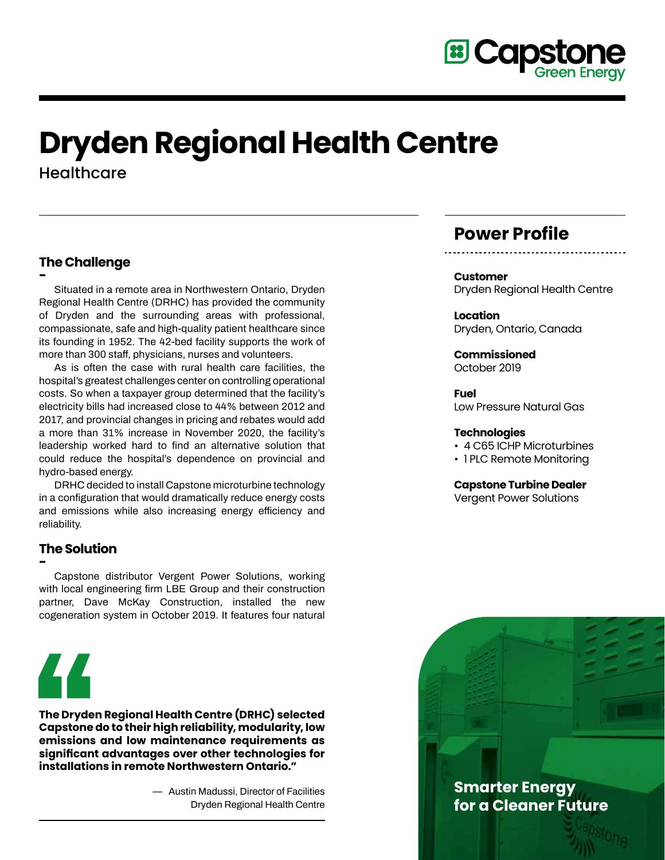

# **Dryden Regional Health Centre**

**Healthcare** 

# **The Challenge**

**- Situated in a remote area in Northwestern Ontario, Dryden Regional Health Centre (DRHC) has provided the community of Dryden and the surrounding areas with professional, compassionate, safe and high-quality patient healthcare since its founding in 1952. The 42-bed facility supports the work of more than 300 staff, physicians, nurses and volunteers.** 

**As is often the case with rural health care facilities, the hospital's greatest challenges center on controlling operational costs. So when a taxpayer group determined that the facility's electricity bills had increased close to 44% between 2012 and 2017, and provincial changes in pricing and rebates would add a more than 31% increase in November 2020, the facility's leadership worked hard to find an alternative solution that could reduce the hospital's dependence on provincial and hydro-based energy.** 

**DRHC decided to install Capstone microturbine technology in a configuration that would dramatically reduce energy costs and emissions while also increasing energy efficiency and reliability.**

# **The Solution**

**- Capstone distributor Vergent Power Solutions, working with local engineering firm LBE Group and their construction partner, Dave McKay Construction, installed the new cogeneration system in October 2019. It features four natural** 



**The Dryden Regional Health Centre (DRHC) selected Capstone do to their high reliability, modularity, low emissions and low maintenance requirements as significant advantages over other technologies for installations in remote Northwestern Ontario."**

> **— Austin Madussi, Director of Facilities Dryden Regional Health Centre**

# **Power Profile**

**Customer** Dryden Regional Health Centre

**Location** Dryden, Ontario, Canada

**Commissioned** October 2019

**Fuel** Low Pressure Natural Gas

### **Technologies**

- 4 C65 ICHP Microturbines
- 1 PLC Remote Monitoring

**Capstone Turbine Dealer**

Vergent Power Solutions

**Smarter Energy for a Cleaner Future**